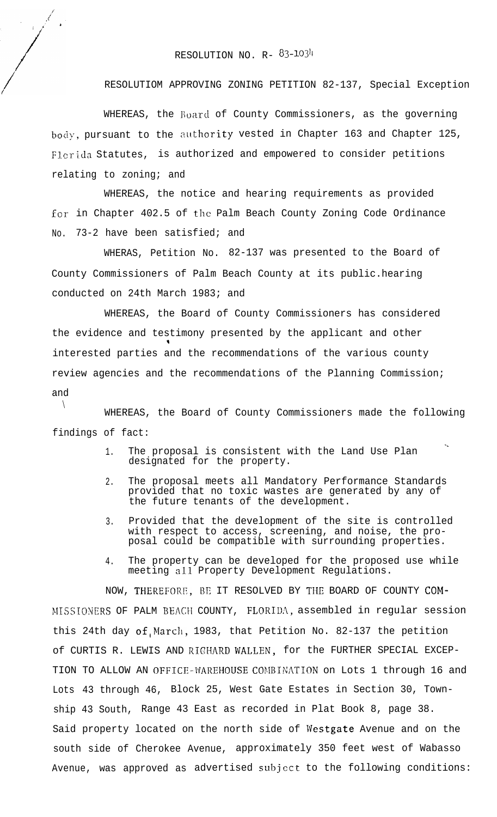## RESOLUTION NO.  $R - 83 - 1034$

RESOLUTIOM APPROVING ZONING PETITION 82-137, Special Exception

WHEREAS, the Board of County Commissioners, as the governing body, pursuant to the authority vested in Chapter 163 and Chapter 125, Florida Statutes, is authorized and empowered to consider petitions relating to zoning; and

WHEREAS, the notice and hearing requirements as provided for in Chapter 402.5 of the Palm Beach County Zoning Code Ordinance No. 73-2 have been satisfied; and

WHERAS, Petition No. 82-137 was presented to the Board of County Commissioners of Palm Beach County at its public.hearing conducted on 24th March 1983; and

WHEREAS, the Board of County Commissioners has considered the evidence and testimony presented by the applicant and other 3 interested parties and the recommendations of the various county review agencies and the recommendations of the Planning Commission; and

 $\setminus$ WHEREAS, the Board of County Commissioners made the following findings of fact:

- 1. The proposal is consistent with the Land Use Plan designated for the property.
- 2. The proposal meets all Mandatory Performance Standards provided that no toxic wastes are generated by any of the future tenants of the development.
- 3. Provided that the development of the site is controlled with respect to access, screening, and noise, the proposal could be compatible with surrounding properties.
- 4. The property can be developed for the proposed use while meeting all Property Development Regulations.

NOW, THEREFORE. BE IT RESOLVED BY THE BOARD OF COUNTY COM-MISSIONERS OF PALM BEACH COUNTY, FLORIDA, assembled in regular session this 24th day of March, 1983, that Petition No. 82-137 the petition of CURTIS R. LEWIS AND RIGHARD WALLEN, for the FURTHER SPECIAL EXCEP-TION TO ALLOW AN OFFICE-WAREHOUSE COMBINATION on Lots 1 through 16 and Lots 43 through 46, Block 25, West Gate Estates in Section 30, Township 43 South, Range 43 East as recorded in Plat Book 8, page 38. Said property located on the north side of Westgate Avenue and on the south side of Cherokee Avenue, approximately 350 feet west of Wabasso Avenue, was approved as advertised subject to the following conditions: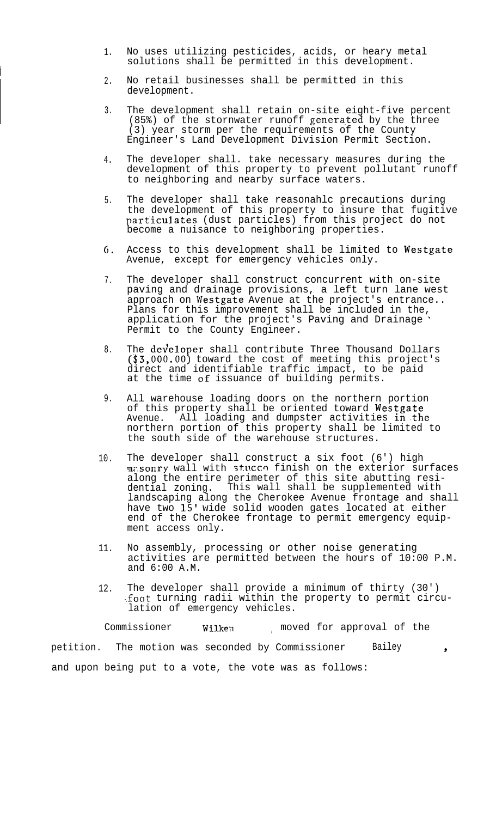- 1. No uses utilizing pesticides, acids, or heary metal solutions shall be permitted in this development.
- 2. No retail businesses shall be permitted in this development.
- 3. The development shall retain on-site eight-five percent (85%) of the stornwater runoff generated by the three (3) year storm per the requirements of the County Engineer's Land Development Division Permit Section.
- 4. The developer shall. take necessary measures during the development of this property to prevent pollutant runoff to neighboring and nearby surface waters.
- 5. The developer shall take reasonahlc precautions during the development of this property to insure that fugitive particulates (dust particles) from this project do not become a nuisance to neighboring properties.
- 6. Access to this development shall be limited to Westgate Avenue, except for emergency vehicles only.
- 7. The developer shall construct concurrent with on-site paving and drainage provisions, a left turn lane west approach on Westgate Avenue at the project's entrance.. Plans for this improvement shall be included in the, application for the project's Paving and Drainage Permit to the County Engineer.
- 8. The  ${\tt dev\`{e}loper}$  shall contribute Three Thousand Dollars (\$3,000.00) toward the cost of meeting this project's direct and identifiable traffic impact, to be paid at the time of issuance of building permits.
- 9. All warehouse loading doors on the northern portion of this property shall be oriented toward Westgate Avenue. <sup>-</sup>All loading and dumpster activities in the northern portion of this property shall be limited to the south side of the warehouse structures.
- 10. The developer shall construct a six foot (6') high masonry wall with stucco finish on the exterior surfaces along the entire perimeter of this site abutting residential zoning. This wall shall be supplemented with landscaping along the Cherokee Avenue frontage and shall have two 15' wide solid wooden gates located at either end of the Cherokee frontage to permit emergency equipment access only.
- 11. No assembly, processing or other noise generating activities are permitted between the hours of 10:00 P.M. and 6:00 A.M.
- 12. The developer shall provide a minimum of thirty (30') :foot turning radii within the property to permit circulation of emergency vehicles.

Commissioner Wilken , moved for approval of the petition. The motion was seconded by Commissioner Bailey  $\rightarrow$ and upon being put to a vote, the vote was as follows: